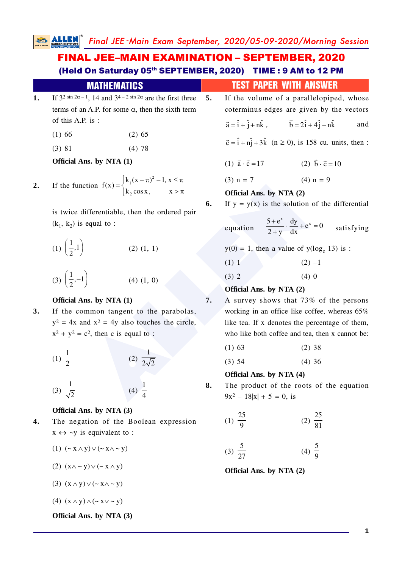Final JEE -Main Exam September, 2020/05-09-2020/Morning Session

ction  $f(x) =\begin{cases} x_1(x-2x) - 1, x-3x \\ k_2 \cos x, x \neq \pi \end{cases}$ <br>
differentiable, then the ordered pair<br>
equal to:<br>
(2) (1, 1)<br>
(4) (1, 0)<br>
(4) (1, 0)<br>
(2) The solution of the solution of the solution of the solution of the solution 1. If  $3^{2} \sin 2\alpha - 1$ , 14 and  $3^{4} - 2 \sin 2\alpha$  are the first three terms of an A.P. for some  $\alpha$ , then the sixth term of this A.P. is :  $(1) 66$   $(2) 65$  $(3)$  81 (4) 78 **Official Ans. by NTA (1) 2.** If the function  $f(x) = \int_{1}^{x} f(x - \pi)^2 - 1, x \leq \pi$  $f(x) = \begin{cases} k_1(x - \pi)^2 - 1, & x \leq \pi \\ k_2 \cos x, & x > \pi \end{cases}$  $k_2 \cos x$ , x is twice differentiable, then the ordered pair  $(k_1, k_2)$  is equal to : (1)  $\left(\frac{1}{2},1\right)$ 2 (2) (1, 1)  $(3) \left( \frac{1}{2}, -1 \right)$ 2 (4) (1, 0) **Official Ans. by NTA (1) 3.** If the common tangent to the parabolas,  $y^2 = 4x$  and  $x^2 = 4y$  also touches the circle,  $x^2 + y^2 = c^2$ , then c is equal to : (1)  $\frac{1}{2}$ (2) 1  $2\sqrt{2}$ (3)  $\frac{1}{\sqrt{2}}$ (4)  $\frac{1}{4}$ **Official Ans. by NTA (3) 4.** The negation of the Boolean expression  $x \leftrightarrow \neg y$  is equivalent to : (1)  $({\sim} x \wedge y) \vee ({\sim} x \wedge {\sim} y)$ FINAL JEE–MAIN EXAMINATION – SEPTEMBER, 2020 (Held On Saturday 05<sup>th</sup> SEPTEMBER, 2020) TIME: 9 AM to 12 PM **MATHEMATICS TEST PAPER WITH ANSWER 5.** If the volume of a parallelopiped, whose coterminus edges are given by the vectors  $\vec{a} = \hat{i} + \hat{j} + n\hat{k}$ ,  $\vec{b} = 2\hat{i} + 4\hat{j} - \hat{k}$  $\vec{b} = 2\hat{i} + 4\hat{j} - n\hat{k}$  and  $\vec{c} = \hat{i} + n\hat{j} + 3\hat{k}$  (n  $\geq$  0), is 158 cu. units, then : (1)  $\vec{a} \cdot \vec{c} = 17$  (2)  $\vec{b} \cdot \vec{c} = 10$ (3)  $n = 7$  (4)  $n = 9$ **Official Ans. by NTA (2) 6.** If  $y = y(x)$  is the solution of the differential equation  $+\mathrm{e}^x$ .  $\frac{\mathrm{d}y}{\mathrm{d}x}$  +  $\mathrm{e}^x$  = 0 +  $\frac{5+e^x}{2+y} \cdot \frac{dy}{dx} + e^x = 0$  satisfying  $y(0) = 1$ , then a value of  $y(\log_e 13)$  is : (1) 1 (2)  $-1$  $(3) 2$  (4) 0 **Official Ans. by NTA (2) 7.** A survey shows that 73% of the persons working in an office like coffee, whereas 65% like tea. If x denotes the percentage of them, who like both coffee and tea, then x cannot be:  $(1) 63$   $(2) 38$ (3) 54 (4) 36 **Official Ans. by NTA (4) 8.** The product of the roots of the equation  $9x^2 - 18|x| + 5 = 0$ , is (1)  $\frac{25}{9}$ (2) 25 81 (3) 5  $\frac{5}{27}$  (4)  $\frac{5}{9}$ 

(2)  $(x \wedge \neg y) \vee (\neg x \wedge y)$ 

(3)  $(x \wedge y) \vee (z \wedge x \wedge z \vee y)$ 

(4)  $(x \wedge y) \wedge (\sim x \vee \sim y)$ 

**Official Ans. by NTA (3)**

**Official Ans. by NTA (2)**

**1**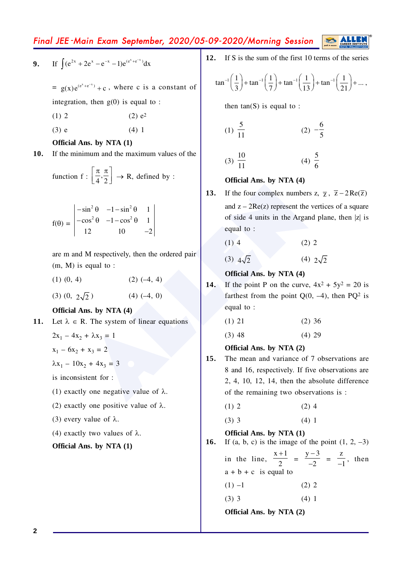Final JEE-Main Exam September, 2020/05-09-2020/Morning Session

9. If 
$$
\int (e^{2x} + 2e^x - e^{-x} - 1)e^{(e^x + e^{-x})} dx
$$

 $= g(x)e^{(e^x + e^{-x})} + c$ , where c is a constant of integration, then  $g(0)$  is equal to:

- $(2) e<sup>2</sup>$  $(1)$  2
- $(3)$  e  $(4) 1$

## Official Ans. by NTA (1)

If the minimum and the maximum values of the 10.

function f: 
$$
\left[\frac{\pi}{4}, \frac{\pi}{2}\right] \rightarrow R
$$
, defined by :

$$
f(\theta) = \begin{vmatrix} -\sin^2 \theta & -1 - \sin^2 \theta & 1 \\ -\cos^2 \theta & -1 - \cos^2 \theta & 1 \\ 12 & 10 & -2 \end{vmatrix}
$$

are m and M respectively, then the ordered pair  $(m, M)$  is equal to :

- $(1)$   $(0, 4)$  $(2) (-4, 4)$
- $(3)(0, 2\sqrt{2})$  $(4) (-4, 0)$

Official Ans. by NTA (4)

- 11. Let  $\lambda \in R$ . The system of linear equations
	- $2x_1 4x_2 + \lambda x_3 = 1$
	- $x_1 6x_2 + x_3 = 2$
	- $\lambda x_1 10x_2 + 4x_3 = 3$

is inconsistent for :

- (1) exactly one negative value of  $\lambda$ .
- (2) exactly one positive value of  $\lambda$ .
- (3) every value of  $\lambda$ .
- (4) exactly two values of  $\lambda$ .

Official Ans. by NTA (1)

If S is the sum of the first 10 terms of the series  $12.$ 

$$
\tan^{-1}\left(\frac{1}{3}\right) + \tan^{-1}\left(\frac{1}{7}\right) + \tan^{-1}\left(\frac{1}{13}\right) + \tan^{-1}\left(\frac{1}{21}\right) + \dots,
$$

then  $tan(S)$  is equal to :

$$
(1) \ \frac{5}{11} \qquad \qquad (2) \ -\frac{6}{5}
$$

$$
(3) \ \frac{10}{11} \qquad \qquad (4) \ \frac{5}{6}
$$

# Official Ans. by NTA (4)

- 13. If the four complex numbers z,  $\overline{z}$ ,  $\overline{z}$  – 2Re( $\overline{z}$ ) and  $z - 2Re(z)$  represent the vertices of a square of side 4 units in the Argand plane, then |z| is equal to:
	- $(1)$  4  $(2) 2$
	- $(3)$   $4\sqrt{2}$  $(4)$   $2\sqrt{2}$

# Official Ans. by NTA (4)

14. If the point P on the curve,  $4x^2 + 5y^2 = 20$  is farthest from the point  $Q(0, -4)$ , then PQ<sup>2</sup> is equal to:

| $(1)$ 21 | $(2)$ 36 |
|----------|----------|
|----------|----------|

 $(3)$  48  $(4)$  29

# Official Ans. by NTA (2)

 $15.$ The mean and variance of 7 observations are 8 and 16, respectively. If five observations are  $2, 4, 10, 12, 14$ , then the absolute difference of the remaining two observations is :

| $(1)$ 2 | $(2)$ 4 |  |
|---------|---------|--|
|         |         |  |

$$
(3) 3 \t(4)
$$

## Official Ans. by NTA (1)

16. If (a, b, c) is the image of the point  $(1, 2, -3)$ in the line,  $\frac{x+1}{2} = \frac{y-3}{-2} = \frac{z}{-1}$ , then

 $a + b + c$  is equal to

- $(1) -1$  $(2) 2$
- $(3)$  3  $(4)$  1

Official Ans. by NTA (2)